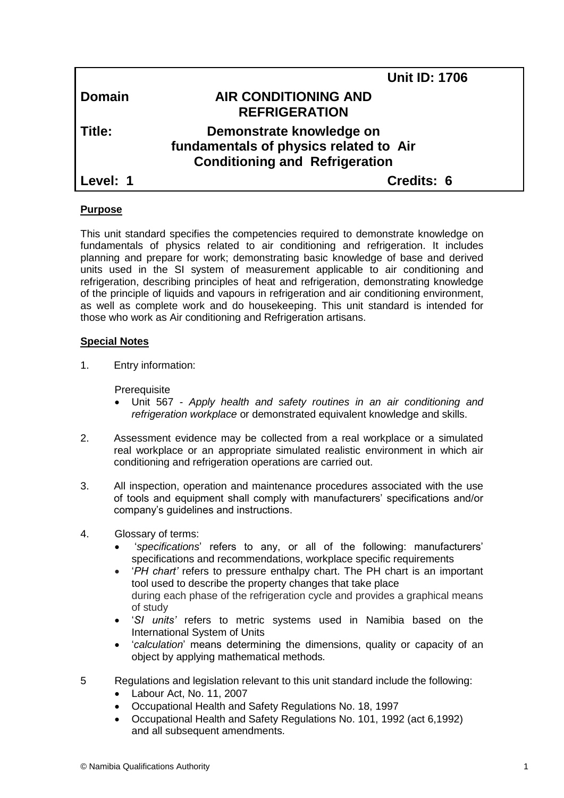| <b>Unit ID: 1706</b>                                               |
|--------------------------------------------------------------------|
| <b>AIR CONDITIONING AND</b><br><b>REFRIGERATION</b>                |
|                                                                    |
| Demonstrate knowledge on<br>fundamentals of physics related to Air |
| <b>Conditioning and Refrigeration</b>                              |
| Credits: 6                                                         |
|                                                                    |

# **Purpose**

This unit standard specifies the competencies required to demonstrate knowledge on fundamentals of physics related to air conditioning and refrigeration. It includes planning and prepare for work; demonstrating basic knowledge of base and derived units used in the SI system of measurement applicable to air conditioning and refrigeration, [describing principles of heat and refrigeration,](http://www.free-ed.net/free-ed/MechTech/Refrigeration/default.asp?iNum=1) demonstrating knowledge of the principle of liquids and vapours in refrigeration and air conditioning environment, as well as complete work and do housekeeping. This unit standard is intended for those who work as Air conditioning and Refrigeration artisans.

# **Special Notes**

1. Entry information:

**Prerequisite** 

- Unit 567 *- Apply health and safety routines in an air conditioning and refrigeration workplace* or demonstrated equivalent knowledge and skills.
- 2. Assessment evidence may be collected from a real workplace or a simulated real workplace or an appropriate simulated realistic environment in which air conditioning and refrigeration operations are carried out.
- 3. All inspection, operation and maintenance procedures associated with the use of tools and equipment shall comply with manufacturers' specifications and/or company's guidelines and instructions.
- 4. Glossary of terms:
	- '*specifications*' refers to any, or all of the following: manufacturers' specifications and recommendations, workplace specific requirements
	- '*PH chart'* refers to pressure enthalpy chart. The PH chart is an important tool used to describe the property changes that take place during each phase of the refrigeration cycle and provides a graphical means of study
	- '*SI units'* refers to metric systems used in Namibia based on the International System of Units
	- '*calculation*' means determining the dimensions, quality or capacity of an object by applying mathematical methods*.*
- 5 Regulations and legislation relevant to this unit standard include the following:
	- Labour Act, No. 11, 2007
	- Occupational Health and Safety Regulations No. 18, 1997
	- Occupational Health and Safety Regulations No. 101, 1992 (act 6,1992) and all subsequent amendments.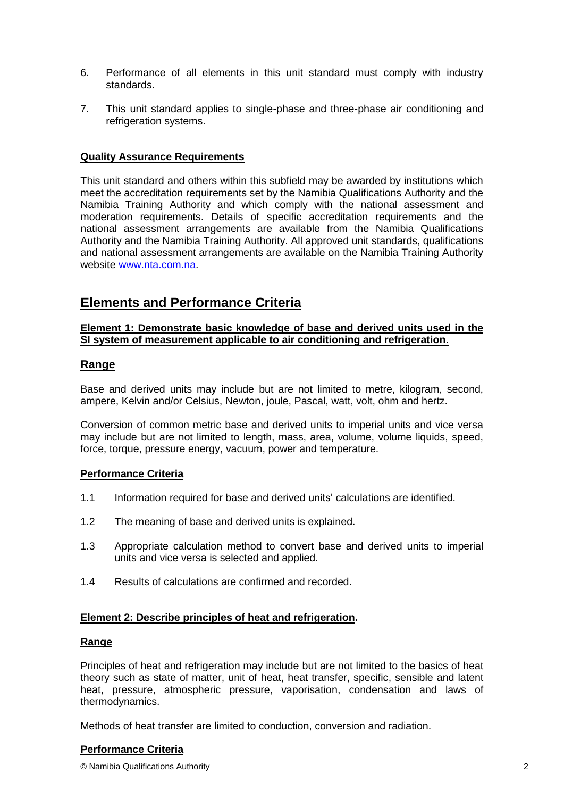- 6. Performance of all elements in this unit standard must comply with industry standards.
- 7. This unit standard applies to single-phase and three-phase air conditioning and refrigeration systems.

# **Quality Assurance Requirements**

This unit standard and others within this subfield may be awarded by institutions which meet the accreditation requirements set by the Namibia Qualifications Authority and the Namibia Training Authority and which comply with the national assessment and moderation requirements. Details of specific accreditation requirements and the national assessment arrangements are available from the Namibia Qualifications Authority and the Namibia Training Authority. All approved unit standards, qualifications and national assessment arrangements are available on the Namibia Training Authority website [www.nta.com.na.](http://www.nta.com.na/)

# **Elements and Performance Criteria**

#### **Element 1: Demonstrate basic knowledge of base and derived units used in the SI system of measurement applicable to air conditioning and refrigeration.**

# **Range**

Base and derived units may include but are not limited to metre, kilogram, second, ampere, Kelvin and/or Celsius, Newton, joule, Pascal, watt, volt, ohm and hertz.

Conversion of common metric base and derived units to imperial units and vice versa may include but are not limited to length, mass, area, volume, volume liquids, speed, force, torque, pressure energy, vacuum, power and temperature.

# **Performance Criteria**

- 1.1 Information required for base and derived units' calculations are identified.
- 1.2 The meaning of base and derived units is explained.
- 1.3 Appropriate calculation method to convert base and derived units to imperial units and vice versa is selected and applied.
- 1.4 Results of calculations are confirmed and recorded.

# **Element 2: [Describe principles of heat and](http://www.free-ed.net/free-ed/MechTech/Refrigeration/default.asp?iNum=1) refrigeration.**

#### **Range**

Principles of heat and refrigeration may include but are not limited to the basics of heat theory such as state of matter, unit of heat, heat transfer, specific, sensible and latent heat, pressure, atmospheric pressure, vaporisation, condensation and laws of thermodynamics.

Methods of heat transfer are limited to conduction, conversion and radiation.

#### **Performance Criteria**

© Namibia Qualifications Authority 2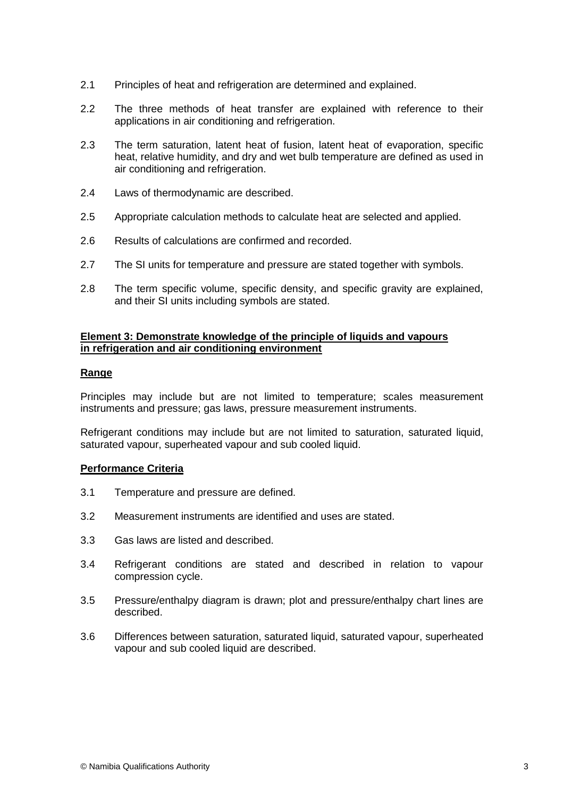- 2.1 Principles of heat and refrigeration are determined and explained.
- 2.2 The three methods of heat transfer are explained with reference to their applications in air conditioning and refrigeration.
- 2.3 The term saturation, latent heat of fusion, latent heat of evaporation, specific heat, relative humidity, and dry and wet bulb temperature are defined as used in air conditioning and refrigeration.
- 2.4 Laws of thermodynamic are described.
- 2.5 Appropriate calculation methods to calculate heat are selected and applied.
- 2.6 Results of calculations are confirmed and recorded.
- 2.7 The SI units for temperature and pressure are stated together with symbols.
- 2.8 The term specific volume, specific density, and specific gravity are explained, and their SI units including symbols are stated.

#### **Element 3: Demonstrate knowledge of the principle of liquids and vapours in refrigeration and air conditioning environment**

#### **Range**

Principles may include but are not limited to temperature; scales measurement instruments and pressure; gas laws, pressure measurement instruments.

Refrigerant conditions may include but are not limited to saturation, saturated liquid, saturated vapour, superheated vapour and sub cooled liquid.

#### **Performance Criteria**

- 3.1 Temperature and pressure are defined.
- 3.2 Measurement instruments are identified and uses are stated.
- 3.3 Gas laws are listed and described.
- 3.4 Refrigerant conditions are stated and described in relation to vapour compression cycle.
- 3.5 Pressure/enthalpy diagram is drawn; plot and pressure/enthalpy chart lines are described.
- 3.6 Differences between saturation, saturated liquid, saturated vapour, superheated vapour and sub cooled liquid are described.